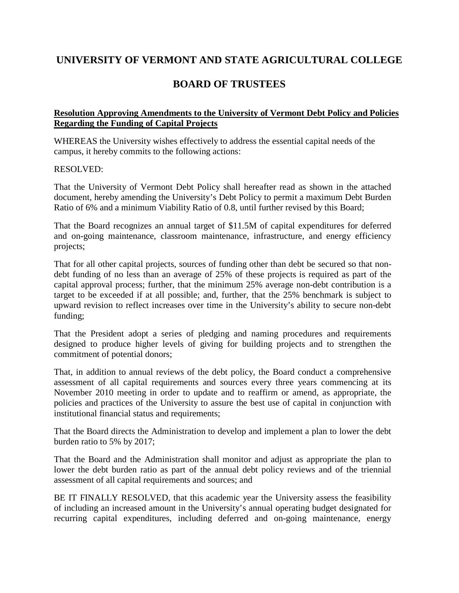## **UNIVERSITY OF VERMONT AND STATE AGRICULTURAL COLLEGE**

## **BOARD OF TRUSTEES**

## **Resolution Approving Amendments to the University of Vermont Debt Policy and Policies Regarding the Funding of Capital Projects**

WHEREAS the University wishes effectively to address the essential capital needs of the campus, it hereby commits to the following actions:

## RESOLVED:

That the University of Vermont Debt Policy shall hereafter read as shown in the attached document, hereby amending the University's Debt Policy to permit a maximum Debt Burden Ratio of 6% and a minimum Viability Ratio of 0.8, until further revised by this Board;

That the Board recognizes an annual target of \$11.5M of capital expenditures for deferred and on-going maintenance, classroom maintenance, infrastructure, and energy efficiency projects;

That for all other capital projects, sources of funding other than debt be secured so that nondebt funding of no less than an average of 25% of these projects is required as part of the capital approval process; further, that the minimum 25% average non-debt contribution is a target to be exceeded if at all possible; and, further, that the 25% benchmark is subject to upward revision to reflect increases over time in the University's ability to secure non-debt funding;

That the President adopt a series of pledging and naming procedures and requirements designed to produce higher levels of giving for building projects and to strengthen the commitment of potential donors;

That, in addition to annual reviews of the debt policy, the Board conduct a comprehensive assessment of all capital requirements and sources every three years commencing at its November 2010 meeting in order to update and to reaffirm or amend, as appropriate, the policies and practices of the University to assure the best use of capital in conjunction with institutional financial status and requirements;

That the Board directs the Administration to develop and implement a plan to lower the debt burden ratio to 5% by 2017;

That the Board and the Administration shall monitor and adjust as appropriate the plan to lower the debt burden ratio as part of the annual debt policy reviews and of the triennial assessment of all capital requirements and sources; and

BE IT FINALLY RESOLVED, that this academic year the University assess the feasibility of including an increased amount in the University's annual operating budget designated for recurring capital expenditures, including deferred and on-going maintenance, energy